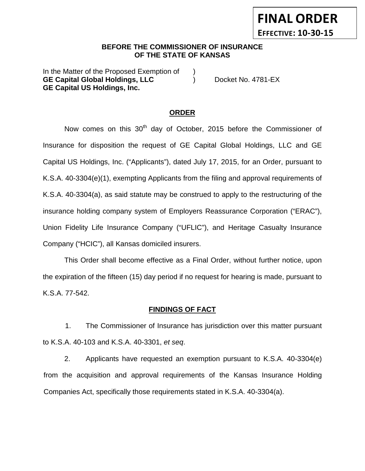# **FINAL ORDER EFFECTIVE: 10-30-15**

## **BEFORE THE COMMISSIONER OF INSURANCE OF THE STATE OF KANSAS**

In the Matter of the Proposed Exemption of GE Capital Global Holdings, LLC (a) Docket No. 4781-EX **GE Capital US Holdings, Inc.**

## **ORDER**

Now comes on this 30<sup>th</sup> day of October, 2015 before the Commissioner of Insurance for disposition the request of GE Capital Global Holdings, LLC and GE Capital US Holdings, Inc. ("Applicants"), dated July 17, 2015, for an Order, pursuant to K.S.A. 40-3304(e)(1), exempting Applicants from the filing and approval requirements of K.S.A. 40-3304(a), as said statute may be construed to apply to the restructuring of the insurance holding company system of Employers Reassurance Corporation ("ERAC"), Union Fidelity Life Insurance Company ("UFLIC"), and Heritage Casualty Insurance Company ("HCIC"), all Kansas domiciled insurers.

This Order shall become effective as a Final Order, without further notice, upon the expiration of the fifteen (15) day period if no request for hearing is made, pursuant to K.S.A. 77-542.

### **FINDINGS OF FACT**

1. The Commissioner of Insurance has jurisdiction over this matter pursuant to K.S.A. 40-103 and K.S.A. 40-3301, *et seq*.

2. Applicants have requested an exemption pursuant to K.S.A. 40-3304(e) from the acquisition and approval requirements of the Kansas Insurance Holding Companies Act, specifically those requirements stated in K.S.A. 40-3304(a).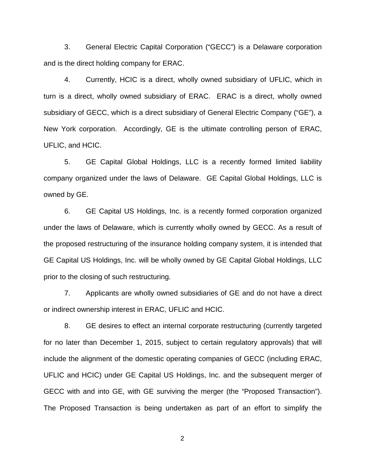3. General Electric Capital Corporation ("GECC") is a Delaware corporation and is the direct holding company for ERAC.

4. Currently, HCIC is a direct, wholly owned subsidiary of UFLIC, which in turn is a direct, wholly owned subsidiary of ERAC. ERAC is a direct, wholly owned subsidiary of GECC, which is a direct subsidiary of General Electric Company ("GE"), a New York corporation. Accordingly, GE is the ultimate controlling person of ERAC, UFLIC, and HCIC.

5. GE Capital Global Holdings, LLC is a recently formed limited liability company organized under the laws of Delaware. GE Capital Global Holdings, LLC is owned by GE.

6. GE Capital US Holdings, Inc. is a recently formed corporation organized under the laws of Delaware, which is currently wholly owned by GECC. As a result of the proposed restructuring of the insurance holding company system, it is intended that GE Capital US Holdings, Inc. will be wholly owned by GE Capital Global Holdings, LLC prior to the closing of such restructuring.

7. Applicants are wholly owned subsidiaries of GE and do not have a direct or indirect ownership interest in ERAC, UFLIC and HCIC.

8. GE desires to effect an internal corporate restructuring (currently targeted for no later than December 1, 2015, subject to certain regulatory approvals) that will include the alignment of the domestic operating companies of GECC (including ERAC, UFLIC and HCIC) under GE Capital US Holdings, Inc. and the subsequent merger of GECC with and into GE, with GE surviving the merger (the "Proposed Transaction"). The Proposed Transaction is being undertaken as part of an effort to simplify the

2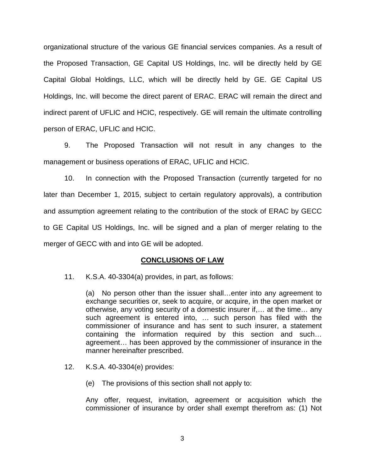organizational structure of the various GE financial services companies. As a result of the Proposed Transaction, GE Capital US Holdings, Inc. will be directly held by GE Capital Global Holdings, LLC, which will be directly held by GE. GE Capital US Holdings, Inc. will become the direct parent of ERAC. ERAC will remain the direct and indirect parent of UFLIC and HCIC, respectively. GE will remain the ultimate controlling person of ERAC, UFLIC and HCIC.

9. The Proposed Transaction will not result in any changes to the management or business operations of ERAC, UFLIC and HCIC.

10. In connection with the Proposed Transaction (currently targeted for no later than December 1, 2015, subject to certain regulatory approvals), a contribution and assumption agreement relating to the contribution of the stock of ERAC by GECC to GE Capital US Holdings, Inc. will be signed and a plan of merger relating to the merger of GECC with and into GE will be adopted.

#### **CONCLUSIONS OF LAW**

11. K.S.A. 40-3304(a) provides, in part, as follows:

(a) No person other than the issuer shall…enter into any agreement to exchange securities or, seek to acquire, or acquire, in the open market or otherwise, any voting security of a domestic insurer if,… at the time… any such agreement is entered into, … such person has filed with the commissioner of insurance and has sent to such insurer, a statement containing the information required by this section and such… agreement… has been approved by the commissioner of insurance in the manner hereinafter prescribed.

- 12. K.S.A. 40-3304(e) provides:
	- (e) The provisions of this section shall not apply to:

Any offer, request, invitation, agreement or acquisition which the commissioner of insurance by order shall exempt therefrom as: (1) Not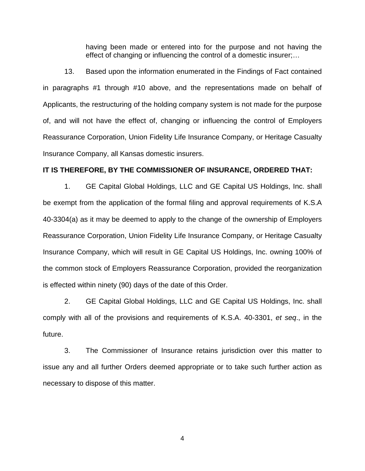having been made or entered into for the purpose and not having the effect of changing or influencing the control of a domestic insurer;…

13. Based upon the information enumerated in the Findings of Fact contained in paragraphs #1 through #10 above, and the representations made on behalf of Applicants, the restructuring of the holding company system is not made for the purpose of, and will not have the effect of, changing or influencing the control of Employers Reassurance Corporation, Union Fidelity Life Insurance Company, or Heritage Casualty Insurance Company, all Kansas domestic insurers.

#### **IT IS THEREFORE, BY THE COMMISSIONER OF INSURANCE, ORDERED THAT:**

1. GE Capital Global Holdings, LLC and GE Capital US Holdings, Inc. shall be exempt from the application of the formal filing and approval requirements of K.S.A 40-3304(a) as it may be deemed to apply to the change of the ownership of Employers Reassurance Corporation, Union Fidelity Life Insurance Company, or Heritage Casualty Insurance Company, which will result in GE Capital US Holdings, Inc. owning 100% of the common stock of Employers Reassurance Corporation, provided the reorganization is effected within ninety (90) days of the date of this Order.

2. GE Capital Global Holdings, LLC and GE Capital US Holdings, Inc. shall comply with all of the provisions and requirements of K.S.A. 40-3301, *et seq*., in the future.

3. The Commissioner of Insurance retains jurisdiction over this matter to issue any and all further Orders deemed appropriate or to take such further action as necessary to dispose of this matter.

4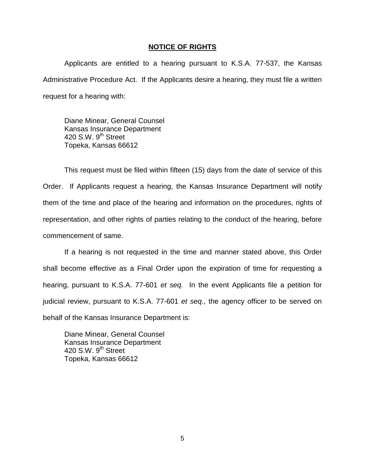#### **NOTICE OF RIGHTS**

Applicants are entitled to a hearing pursuant to K.S.A. 77-537, the Kansas Administrative Procedure Act. If the Applicants desire a hearing, they must file a written request for a hearing with:

Diane Minear, General Counsel Kansas Insurance Department 420 S.W.  $9<sup>th</sup>$  Street Topeka, Kansas 66612

This request must be filed within fifteen (15) days from the date of service of this Order. If Applicants request a hearing, the Kansas Insurance Department will notify them of the time and place of the hearing and information on the procedures, rights of representation, and other rights of parties relating to the conduct of the hearing, before commencement of same.

If a hearing is not requested in the time and manner stated above, this Order shall become effective as a Final Order upon the expiration of time for requesting a hearing, pursuant to K.S.A. 77-601 *et seq.* In the event Applicants file a petition for judicial review, pursuant to K.S.A. 77-601 *et seq.*, the agency officer to be served on behalf of the Kansas Insurance Department is:

Diane Minear, General Counsel Kansas Insurance Department 420 S.W.  $9<sup>th</sup>$  Street Topeka, Kansas 66612